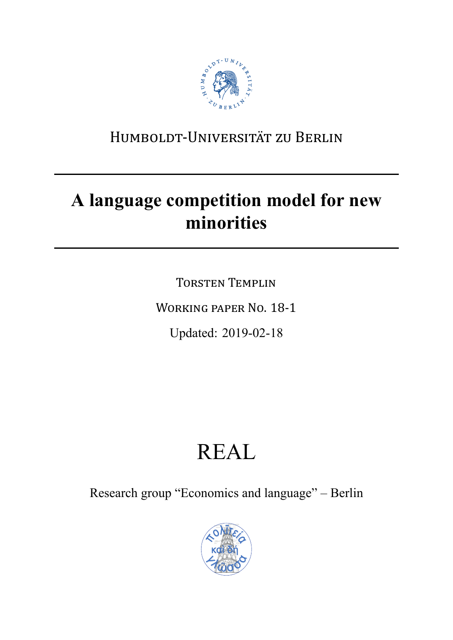

# HUMBOLDT-UNIVERSITÄT ZU BERLIN

# **A language competition model for new minorities**

TORSTEN TEMPLIN WORKING PAPER NO. 18-1 Updated: 2019-02-18

# REAL

Research group "Economics and language" – Berlin

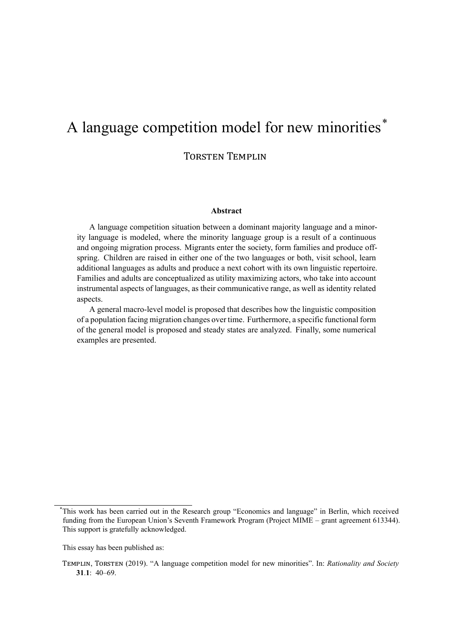# A language competition model for new minorities\*

TORSTEN TEMPLIN

#### **Abstract**

A language competition situation between a dominant majority language and a minority language is modeled, where the minority language group is a result of a continuous and ongoing migration process. Migrants enter the society, form families and produce offspring. Children are raised in either one of the two languages or both, visit school, learn additional languages as adults and produce a next cohort with its own linguistic repertoire. Families and adults are conceptualized as utility maximizing actors, who take into account instrumental aspects of languages, as their communicative range, as well as identity related aspects.

A general macro-level model is proposed that describes how the linguistic composition of a population facing migration changes over time. Furthermore, a specific functional form of the general model is proposed and steady states are analyzed. Finally, some numerical examples are presented.

<sup>\*</sup>This work has been carried out in the Research group "Economics and language" in Berlin, which received funding from the European Union's Seventh Framework Program (Project MIME – grant agreement 613344). This support is gratefully acknowledged.

This essay has been published as:

TEMPLIN, TORSTEN (2019). "A language competition model for new minorities". In: *Rationality and Society* 31.1<sup> $\cdot$ </sup> 40–69.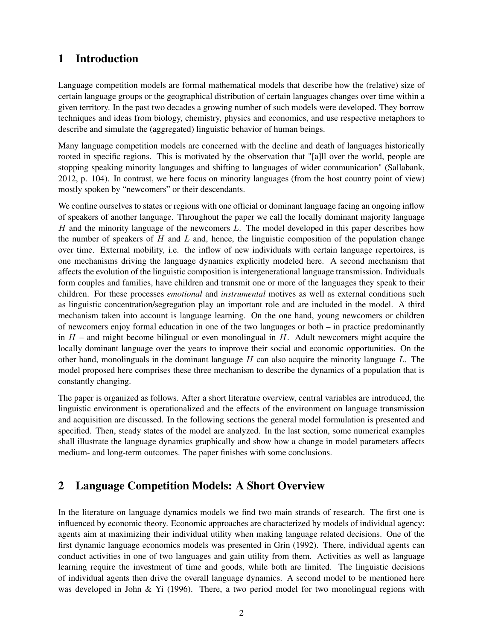# 1 Introduction

Language competition models are formal mathematical models that describe how the (relative) size of certain language groups or the geographical distribution of certain languages changes over time within a given territory. In the past two decades a growing number of such models were developed. They borrow techniques and ideas from biology, chemistry, physics and economics, and use respective metaphors to describe and simulate the (aggregated) linguistic behavior of human beings.

Many language competition models are concerned with the decline and death of languages historically rooted in specific regions. This is motivated by the observation that "[a]ll over the world, people are stopping speaking minority languages and shifting to languages of wider communication" (Sallabank, 2012, p. 104). In contrast, we here focus on minority languages (from the host country point of view) mostly spoken by "newcomers" or their descendants.

We confine ourselves to states or regions with one official or dominant language facing an ongoing inflow of speakers of another language. Throughout the paper we call the locally dominant majority language H and the minority language of the newcomers L. The model developed in this paper describes how the number of speakers of  $H$  and  $L$  and, hence, the linguistic composition of the population change over time. External mobility, i.e. the inflow of new individuals with certain language repertoires, is one mechanisms driving the language dynamics explicitly modeled here. A second mechanism that affects the evolution of the linguistic composition is intergenerational language transmission. Individuals form couples and families, have children and transmit one or more of the languages they speak to their children. For these processes *emotional* and *instrumental* motives as well as external conditions such as linguistic concentration/segregation play an important role and are included in the model. A third mechanism taken into account is language learning. On the one hand, young newcomers or children of newcomers enjoy formal education in one of the two languages or both – in practice predominantly in  $H$  – and might become bilingual or even monolingual in  $H$ . Adult newcomers might acquire the locally dominant language over the years to improve their social and economic opportunities. On the other hand, monolinguals in the dominant language  $H$  can also acquire the minority language  $L$ . The model proposed here comprises these three mechanism to describe the dynamics of a population that is constantly changing.

The paper is organized as follows. After a short literature overview, central variables are introduced, the linguistic environment is operationalized and the effects of the environment on language transmission and acquisition are discussed. In the following sections the general model formulation is presented and specified. Then, steady states of the model are analyzed. In the last section, some numerical examples shall illustrate the language dynamics graphically and show how a change in model parameters affects medium- and long-term outcomes. The paper finishes with some conclusions.

# 2 Language Competition Models: A Short Overview

In the literature on language dynamics models we find two main strands of research. The first one is influenced by economic theory. Economic approaches are characterized by models of individual agency: agents aim at maximizing their individual utility when making language related decisions. One of the first dynamic language economics models was presented in Grin (1992). There, individual agents can conduct activities in one of two languages and gain utility from them. Activities as well as language learning require the investment of time and goods, while both are limited. The linguistic decisions of individual agents then drive the overall language dynamics. A second model to be mentioned here was developed in John & Yi (1996). There, a two period model for two monolingual regions with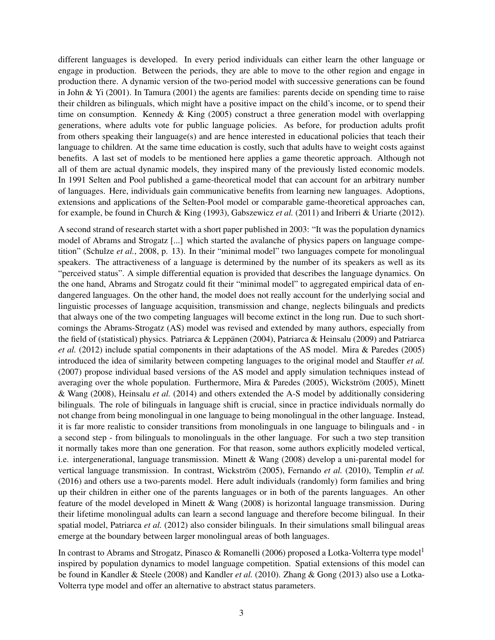different languages is developed. In every period individuals can either learn the other language or engage in production. Between the periods, they are able to move to the other region and engage in production there. A dynamic version of the two-period model with successive generations can be found in John & Yi (2001). In Tamura (2001) the agents are families: parents decide on spending time to raise their children as bilinguals, which might have a positive impact on the child's income, or to spend their time on consumption. Kennedy & King (2005) construct a three generation model with overlapping generations, where adults vote for public language policies. As before, for production adults profit from others speaking their language(s) and are hence interested in educational policies that teach their language to children. At the same time education is costly, such that adults have to weight costs against benefits. A last set of models to be mentioned here applies a game theoretic approach. Although not all of them are actual dynamic models, they inspired many of the previously listed economic models. In 1991 Selten and Pool published a game-theoretical model that can account for an arbitrary number of languages. Here, individuals gain communicative benefits from learning new languages. Adoptions, extensions and applications of the Selten-Pool model or comparable game-theoretical approaches can, for example, be found in Church & King (1993), Gabszewicz *et al.* (2011) and Iriberri & Uriarte (2012).

A second strand of research startet with a short paper published in 2003: "It was the population dynamics model of Abrams and Strogatz [...] which started the avalanche of physics papers on language competition" (Schulze *et al.*, 2008, p. 13). In their "minimal model" two languages compete for monolingual speakers. The attractiveness of a language is determined by the number of its speakers as well as its "perceived status". A simple differential equation is provided that describes the language dynamics. On the one hand, Abrams and Strogatz could fit their "minimal model" to aggregated empirical data of endangered languages. On the other hand, the model does not really account for the underlying social and linguistic processes of language acquisition, transmission and change, neglects bilinguals and predicts that always one of the two competing languages will become extinct in the long run. Due to such shortcomings the Abrams-Strogatz (AS) model was revised and extended by many authors, especially from the field of (statistical) physics. Patriarca & Leppänen (2004), Patriarca & Heinsalu (2009) and Patriarca *et al.* (2012) include spatial components in their adaptations of the AS model. Mira & Paredes (2005) introduced the idea of similarity between competing languages to the original model and Stauffer *et al.* (2007) propose individual based versions of the AS model and apply simulation techniques instead of averaging over the whole population. Furthermore, Mira & Paredes (2005), Wickström (2005), Minett & Wang (2008), Heinsalu *et al.* (2014) and others extended the A-S model by additionally considering bilinguals. The role of bilinguals in language shift is crucial, since in practice individuals normally do not change from being monolingual in one language to being monolingual in the other language. Instead, it is far more realistic to consider transitions from monolinguals in one language to bilinguals and - in a second step - from bilinguals to monolinguals in the other language. For such a two step transition it normally takes more than one generation. For that reason, some authors explicitly modeled vertical, i.e. intergenerational, language transmission. Minett & Wang (2008) develop a uni-parental model for vertical language transmission. In contrast, Wickström (2005), Fernando *et al.* (2010), Templin *et al.* (2016) and others use a two-parents model. Here adult individuals (randomly) form families and bring up their children in either one of the parents languages or in both of the parents languages. An other feature of the model developed in Minett & Wang (2008) is horizontal language transmission. During their lifetime monolingual adults can learn a second language and therefore become bilingual. In their spatial model, Patriarca *et al.* (2012) also consider bilinguals. In their simulations small bilingual areas emerge at the boundary between larger monolingual areas of both languages.

In contrast to Abrams and Strogatz, Pinasco & Romanelli (2006) proposed a Lotka-Volterra type model<sup>1</sup> inspired by population dynamics to model language competition. Spatial extensions of this model can be found in Kandler & Steele (2008) and Kandler *et al.* (2010). Zhang & Gong (2013) also use a Lotka-Volterra type model and offer an alternative to abstract status parameters.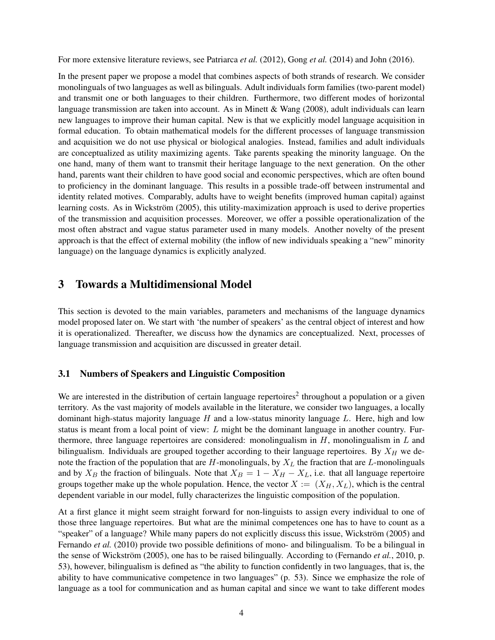For more extensive literature reviews, see Patriarca *et al.* (2012), Gong *et al.* (2014) and John (2016).

In the present paper we propose a model that combines aspects of both strands of research. We consider monolinguals of two languages as well as bilinguals. Adult individuals form families (two-parent model) and transmit one or both languages to their children. Furthermore, two different modes of horizontal language transmission are taken into account. As in Minett & Wang (2008), adult individuals can learn new languages to improve their human capital. New is that we explicitly model language acquisition in formal education. To obtain mathematical models for the different processes of language transmission and acquisition we do not use physical or biological analogies. Instead, families and adult individuals are conceptualized as utility maximizing agents. Take parents speaking the minority language. On the one hand, many of them want to transmit their heritage language to the next generation. On the other hand, parents want their children to have good social and economic perspectives, which are often bound to proficiency in the dominant language. This results in a possible trade-off between instrumental and identity related motives. Comparably, adults have to weight benefits (improved human capital) against learning costs. As in Wickström (2005), this utility-maximization approach is used to derive properties of the transmission and acquisition processes. Moreover, we offer a possible operationalization of the most often abstract and vague status parameter used in many models. Another novelty of the present approach is that the effect of external mobility (the inflow of new individuals speaking a "new" minority language) on the language dynamics is explicitly analyzed.

# 3 Towards a Multidimensional Model

This section is devoted to the main variables, parameters and mechanisms of the language dynamics model proposed later on. We start with 'the number of speakers' as the central object of interest and how it is operationalized. Thereafter, we discuss how the dynamics are conceptualized. Next, processes of language transmission and acquisition are discussed in greater detail.

#### 3.1 Numbers of Speakers and Linguistic Composition

We are interested in the distribution of certain language repertoires<sup>2</sup> throughout a population or a given territory. As the vast majority of models available in the literature, we consider two languages, a locally dominant high-status majority language  $H$  and a low-status minority language  $L$ . Here, high and low status is meant from a local point of view:  $L$  might be the dominant language in another country. Furthermore, three language repertoires are considered: monolingualism in  $H$ , monolingualism in  $L$  and bilingualism. Individuals are grouped together according to their language repertoires. By  $X_H$  we denote the fraction of the population that are  $H$ -monolinguals, by  $X_L$  the fraction that are  $L$ -monolinguals and by  $X_B$  the fraction of bilinguals. Note that  $X_B = 1 - X_H - X_L$ , i.e. that all language repertoire groups together make up the whole population. Hence, the vector  $X := (X_H, X_L)$ , which is the central dependent variable in our model, fully characterizes the linguistic composition of the population.

At a first glance it might seem straight forward for non-linguists to assign every individual to one of those three language repertoires. But what are the minimal competences one has to have to count as a "speaker" of a language? While many papers do not explicitly discuss this issue, Wickström (2005) and Fernando *et al.* (2010) provide two possible definitions of mono- and bilingualism. To be a bilingual in the sense of Wickström (2005), one has to be raised bilingually. According to (Fernando *et al.*, 2010, p. 53), however, bilingualism is defined as "the ability to function confidently in two languages, that is, the ability to have communicative competence in two languages" (p. 53). Since we emphasize the role of language as a tool for communication and as human capital and since we want to take different modes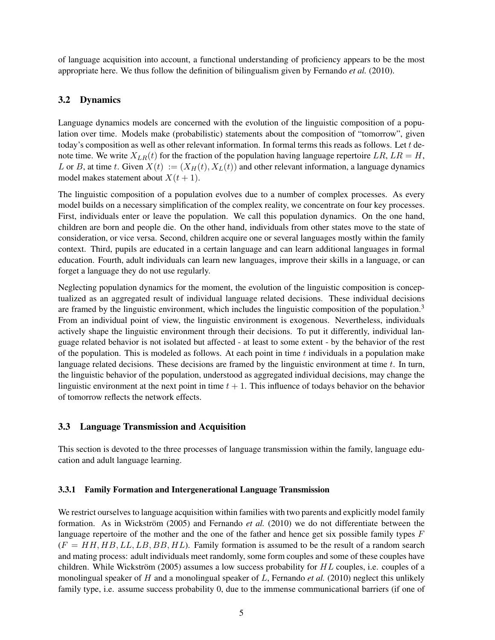of language acquisition into account, a functional understanding of proficiency appears to be the most appropriate here. We thus follow the definition of bilingualism given by Fernando *et al.* (2010).

## 3.2 Dynamics

Language dynamics models are concerned with the evolution of the linguistic composition of a population over time. Models make (probabilistic) statements about the composition of "tomorrow", given today's composition as well as other relevant information. In formal terms this reads as follows. Let  $t$  denote time. We write  $X_{LR}(t)$  for the fraction of the population having language repertoire LR,  $LR = H$ , L or B, at time t. Given  $X(t) := (X_H(t), X_L(t))$  and other relevant information, a language dynamics model makes statement about  $X(t + 1)$ .

The linguistic composition of a population evolves due to a number of complex processes. As every model builds on a necessary simplification of the complex reality, we concentrate on four key processes. First, individuals enter or leave the population. We call this population dynamics. On the one hand, children are born and people die. On the other hand, individuals from other states move to the state of consideration, or vice versa. Second, children acquire one or several languages mostly within the family context. Third, pupils are educated in a certain language and can learn additional languages in formal education. Fourth, adult individuals can learn new languages, improve their skills in a language, or can forget a language they do not use regularly.

Neglecting population dynamics for the moment, the evolution of the linguistic composition is conceptualized as an aggregated result of individual language related decisions. These individual decisions are framed by the linguistic environment, which includes the linguistic composition of the population.<sup>3</sup> From an individual point of view, the linguistic environment is exogenous. Nevertheless, individuals actively shape the linguistic environment through their decisions. To put it differently, individual language related behavior is not isolated but affected - at least to some extent - by the behavior of the rest of the population. This is modeled as follows. At each point in time  $t$  individuals in a population make language related decisions. These decisions are framed by the linguistic environment at time t. In turn, the linguistic behavior of the population, understood as aggregated individual decisions, may change the linguistic environment at the next point in time  $t + 1$ . This influence of todays behavior on the behavior of tomorrow reflects the network effects.

## 3.3 Language Transmission and Acquisition

This section is devoted to the three processes of language transmission within the family, language education and adult language learning.

#### 3.3.1 Family Formation and Intergenerational Language Transmission

We restrict ourselves to language acquisition within families with two parents and explicitly model family formation. As in Wickström (2005) and Fernando *et al.* (2010) we do not differentiate between the language repertoire of the mother and the one of the father and hence get six possible family types  $F$  $(F = HH, HB, LL, LB, BB, HL)$ . Family formation is assumed to be the result of a random search and mating process: adult individuals meet randomly, some form couples and some of these couples have children. While Wickström (2005) assumes a low success probability for  $HL$  couples, i.e. couples of a monolingual speaker of H and a monolingual speaker of L, Fernando *et al.* (2010) neglect this unlikely family type, i.e. assume success probability 0, due to the immense communicational barriers (if one of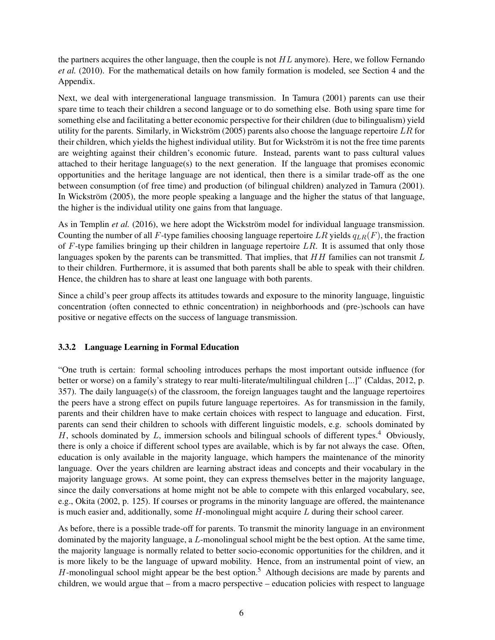the partners acquires the other language, then the couple is not  $HL$  anymore). Here, we follow Fernando *et al.* (2010). For the mathematical details on how family formation is modeled, see Section 4 and the Appendix.

Next, we deal with intergenerational language transmission. In Tamura (2001) parents can use their spare time to teach their children a second language or to do something else. Both using spare time for something else and facilitating a better economic perspective for their children (due to bilingualism) yield utility for the parents. Similarly, in Wickström (2005) parents also choose the language repertoire  $LR$  for their children, which yields the highest individual utility. But for Wickström it is not the free time parents are weighting against their children's economic future. Instead, parents want to pass cultural values attached to their heritage language(s) to the next generation. If the language that promises economic opportunities and the heritage language are not identical, then there is a similar trade-off as the one between consumption (of free time) and production (of bilingual children) analyzed in Tamura (2001). In Wickström (2005), the more people speaking a language and the higher the status of that language, the higher is the individual utility one gains from that language.

As in Templin *et al.* (2016), we here adopt the Wickström model for individual language transmission. Counting the number of all F-type families choosing language repertoire LR yields  $q_{LR}(F)$ , the fraction of  $F$ -type families bringing up their children in language repertoire  $LR$ . It is assumed that only those languages spoken by the parents can be transmitted. That implies, that  $HH$  families can not transmit  $L$ to their children. Furthermore, it is assumed that both parents shall be able to speak with their children. Hence, the children has to share at least one language with both parents.

Since a child's peer group affects its attitudes towards and exposure to the minority language, linguistic concentration (often connected to ethnic concentration) in neighborhoods and (pre-)schools can have positive or negative effects on the success of language transmission.

#### 3.3.2 Language Learning in Formal Education

"One truth is certain: formal schooling introduces perhaps the most important outside influence (for better or worse) on a family's strategy to rear multi-literate/multilingual children [...]" (Caldas, 2012, p. 357). The daily language(s) of the classroom, the foreign languages taught and the language repertoires the peers have a strong effect on pupils future language repertoires. As for transmission in the family, parents and their children have to make certain choices with respect to language and education. First, parents can send their children to schools with different linguistic models, e.g. schools dominated by H, schools dominated by L, immersion schools and bilingual schools of different types.<sup>4</sup> Obviously, there is only a choice if different school types are available, which is by far not always the case. Often, education is only available in the majority language, which hampers the maintenance of the minority language. Over the years children are learning abstract ideas and concepts and their vocabulary in the majority language grows. At some point, they can express themselves better in the majority language, since the daily conversations at home might not be able to compete with this enlarged vocabulary, see, e.g., Okita (2002, p. 125). If courses or programs in the minority language are offered, the maintenance is much easier and, additionally, some  $H$ -monolingual might acquire  $L$  during their school career.

As before, there is a possible trade-off for parents. To transmit the minority language in an environment dominated by the majority language, a  $L$ -monolingual school might be the best option. At the same time, the majority language is normally related to better socio-economic opportunities for the children, and it is more likely to be the language of upward mobility. Hence, from an instrumental point of view, an H-monolingual school might appear be the best option.<sup>5</sup> Although decisions are made by parents and children, we would argue that – from a macro perspective – education policies with respect to language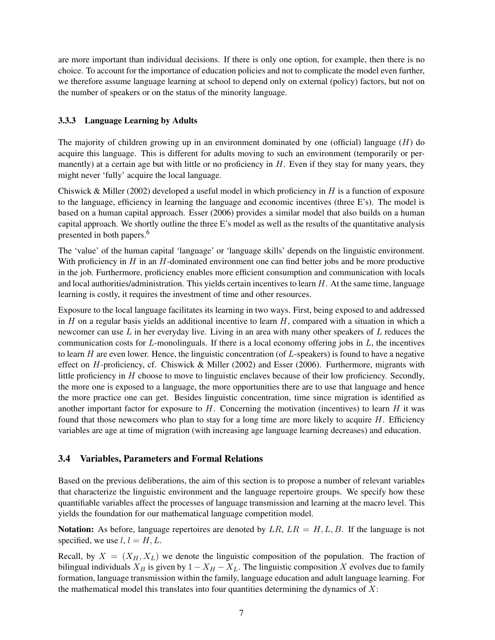are more important than individual decisions. If there is only one option, for example, then there is no choice. To account for the importance of education policies and not to complicate the model even further, we therefore assume language learning at school to depend only on external (policy) factors, but not on the number of speakers or on the status of the minority language.

#### 3.3.3 Language Learning by Adults

The majority of children growing up in an environment dominated by one (official) language  $(H)$  do acquire this language. This is different for adults moving to such an environment (temporarily or permanently) at a certain age but with little or no proficiency in  $H$ . Even if they stay for many years, they might never 'fully' acquire the local language.

Chiswick & Miller (2002) developed a useful model in which proficiency in  $H$  is a function of exposure to the language, efficiency in learning the language and economic incentives (three E's). The model is based on a human capital approach. Esser (2006) provides a similar model that also builds on a human capital approach. We shortly outline the three E's model as well as the results of the quantitative analysis presented in both papers.<sup>6</sup>

The 'value' of the human capital 'language' or 'language skills' depends on the linguistic environment. With proficiency in  $H$  in an  $H$ -dominated environment one can find better jobs and be more productive in the job. Furthermore, proficiency enables more efficient consumption and communication with locals and local authorities/administration. This yields certain incentives to learn  $H$ . At the same time, language learning is costly, it requires the investment of time and other resources.

Exposure to the local language facilitates its learning in two ways. First, being exposed to and addressed in  $H$  on a regular basis yields an additional incentive to learn  $H$ , compared with a situation in which a newcomer can use  $L$  in her everyday live. Living in an area with many other speakers of  $L$  reduces the communication costs for  $L$ -monolinguals. If there is a local economy offering jobs in  $L$ , the incentives to learn  $H$  are even lower. Hence, the linguistic concentration (of  $L$ -speakers) is found to have a negative effect on H-proficiency, cf. Chiswick & Miller (2002) and Esser (2006). Furthermore, migrants with little proficiency in H choose to move to linguistic enclaves because of their low proficiency. Secondly, the more one is exposed to a language, the more opportunities there are to use that language and hence the more practice one can get. Besides linguistic concentration, time since migration is identified as another important factor for exposure to  $H$ . Concerning the motivation (incentives) to learn  $H$  it was found that those new comers who plan to stay for a long time are more likely to acquire  $H$ . Efficiency variables are age at time of migration (with increasing age language learning decreases) and education.

#### 3.4 Variables, Parameters and Formal Relations

Based on the previous deliberations, the aim of this section is to propose a number of relevant variables that characterize the linguistic environment and the language repertoire groups. We specify how these quantifiable variables affect the processes of language transmission and learning at the macro level. This yields the foundation for our mathematical language competition model.

**Notation:** As before, language repertoires are denoted by  $LR$ ,  $LR = H, L, B$ . If the language is not specified, we use  $l, l = H, L$ .

Recall, by  $X = (X_H, X_L)$  we denote the linguistic composition of the population. The fraction of bilingual individuals  $X_B$  is given by  $1 - X_H - X_L$ . The linguistic composition X evolves due to family formation, language transmission within the family, language education and adult language learning. For the mathematical model this translates into four quantities determining the dynamics of  $X$ :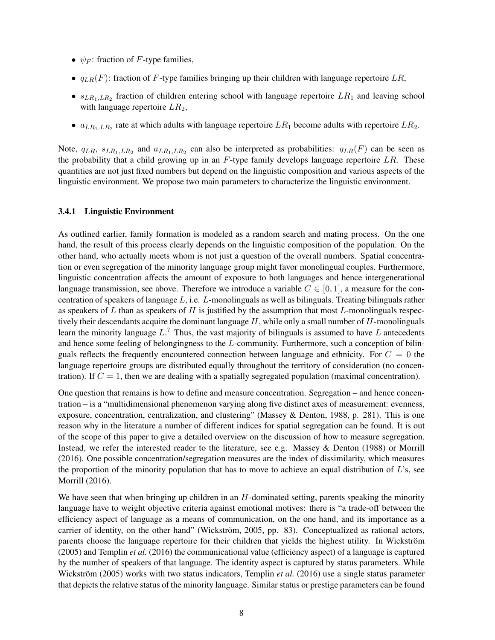- $\psi_F$ : fraction of F-type families,
- $q_{LR}(F)$ : fraction of F-type families bringing up their children with language repertoire LR,
- $s_{LR_1,LR_2}$  fraction of children entering school with language repertoire  $LR_1$  and leaving school with language repertoire  $LR_2$ ,
- $a_{LR_1,LR_2}$  rate at which adults with language repertoire  $LR_1$  become adults with repertoire  $LR_2$ .

Note,  $q_{LR}$ ,  $s_{LR_1,LR_2}$  and  $a_{LR_1,LR_2}$  can also be interpreted as probabilities:  $q_{LR}(F)$  can be seen as the probability that a child growing up in an  $F$ -type family develops language repertoire  $LR$ . These quantities are not just fixed numbers but depend on the linguistic composition and various aspects of the linguistic environment. We propose two main parameters to characterize the linguistic environment.

#### 3.4.1 Linguistic Environment

As outlined earlier, family formation is modeled as a random search and mating process. On the one hand, the result of this process clearly depends on the linguistic composition of the population. On the other hand, who actually meets whom is not just a question of the overall numbers. Spatial concentration or even segregation of the minority language group might favor monolingual couples. Furthermore, linguistic concentration affects the amount of exposure to both languages and hence intergenerational language transmission, see above. Therefore we introduce a variable  $C \in [0, 1]$ , a measure for the concentration of speakers of language  $L$ , i.e.  $L$ -monolinguals as well as bilinguals. Treating bilinguals rather as speakers of  $L$  than as speakers of  $H$  is justified by the assumption that most  $L$ -monolinguals respectively their descendants acquire the dominant language  $H$ , while only a small number of  $H$ -monolinguals learn the minority language  $L<sup>7</sup>$ . Thus, the vast majority of bilinguals is assumed to have L antecedents and hence some feeling of belongingness to the L-community. Furthermore, such a conception of bilinguals reflects the frequently encountered connection between language and ethnicity. For  $C = 0$  the language repertoire groups are distributed equally throughout the territory of consideration (no concentration). If  $C = 1$ , then we are dealing with a spatially segregated population (maximal concentration).

One question that remains is how to define and measure concentration. Segregation – and hence concentration – is a "multidimensional phenomenon varying along five distinct axes of measurement: evenness, exposure, concentration, centralization, and clustering" (Massey & Denton, 1988, p. 281). This is one reason why in the literature a number of different indices for spatial segregation can be found. It is out of the scope of this paper to give a detailed overview on the discussion of how to measure segregation. Instead, we refer the interested reader to the literature, see e.g. Massey & Denton (1988) or Morrill (2016). One possible concentration/segregation measures are the index of dissimilarity, which measures the proportion of the minority population that has to move to achieve an equal distribution of  $L$ 's, see Morrill (2016).

We have seen that when bringing up children in an  $H$ -dominated setting, parents speaking the minority language have to weight objective criteria against emotional motives: there is "a trade-off between the efficiency aspect of language as a means of communication, on the one hand, and its importance as a carrier of identity, on the other hand" (Wickström, 2005, pp. 83). Conceptualized as rational actors, parents choose the language repertoire for their children that yields the highest utility. In Wickström (2005) and Templin *et al.* (2016) the communicational value (efficiency aspect) of a language is captured by the number of speakers of that language. The identity aspect is captured by status parameters. While Wickström (2005) works with two status indicators, Templin *et al.* (2016) use a single status parameter that depicts the relative status of the minority language. Similar status or prestige parameters can be found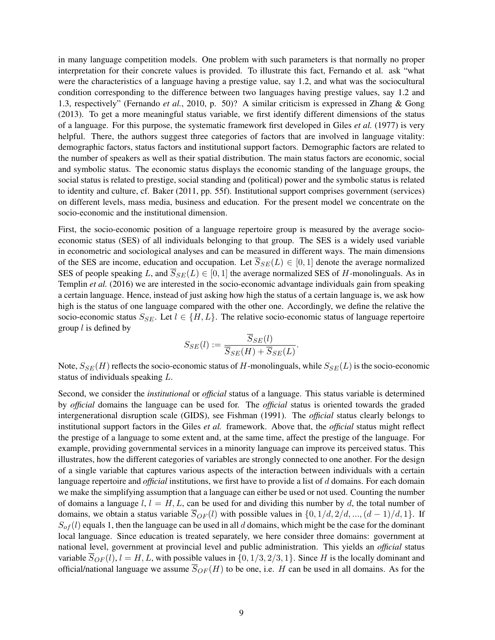in many language competition models. One problem with such parameters is that normally no proper interpretation for their concrete values is provided. To illustrate this fact, Fernando et al. ask "what were the characteristics of a language having a prestige value, say 1.2, and what was the sociocultural condition corresponding to the difference between two languages having prestige values, say 1.2 and 1.3, respectively" (Fernando *et al.*, 2010, p. 50)? A similar criticism is expressed in Zhang & Gong (2013). To get a more meaningful status variable, we first identify different dimensions of the status of a language. For this purpose, the systematic framework first developed in Giles *et al.* (1977) is very helpful. There, the authors suggest three categories of factors that are involved in language vitality: demographic factors, status factors and institutional support factors. Demographic factors are related to the number of speakers as well as their spatial distribution. The main status factors are economic, social and symbolic status. The economic status displays the economic standing of the language groups, the social status is related to prestige, social standing and (political) power and the symbolic status is related to identity and culture, cf. Baker (2011, pp. 55f). Institutional support comprises government (services) on different levels, mass media, business and education. For the present model we concentrate on the socio-economic and the institutional dimension.

First, the socio-economic position of a language repertoire group is measured by the average socioeconomic status (SES) of all individuals belonging to that group. The SES is a widely used variable in econometric and sociological analyses and can be measured in different ways. The main dimensions of the SES are income, education and occupation. Let  $\overline{S}_{SE}(L) \in [0,1]$  denote the average normalized SES of people speaking L, and  $\overline{S}_{SE}(L) \in [0, 1]$  the average normalized SES of H-monolinguals. As in Templin *et al.* (2016) we are interested in the socio-economic advantage individuals gain from speaking a certain language. Hence, instead of just asking how high the status of a certain language is, we ask how high is the status of one language compared with the other one. Accordingly, we define the relative the socio-economic status  $S_{SE}$ . Let  $l \in \{H, L\}$ . The relative socio-economic status of language repertoire group  $l$  is defined by

$$
S_{SE}(l) := \frac{\overline{S}_{SE}(l)}{\overline{S}_{SE}(H) + \overline{S}_{SE}(L)}
$$

.

Note,  $S_{SE}(H)$  reflects the socio-economic status of H-monolinguals, while  $S_{SE}(L)$  is the socio-economic status of individuals speaking L.

Second, we consider the *institutional* or *official* status of a language. This status variable is determined by *official* domains the language can be used for. The *official* status is oriented towards the graded intergenerational disruption scale (GIDS), see Fishman (1991). The *official* status clearly belongs to institutional support factors in the Giles *et al.* framework. Above that, the *official* status might reflect the prestige of a language to some extent and, at the same time, affect the prestige of the language. For example, providing governmental services in a minority language can improve its perceived status. This illustrates, how the different categories of variables are strongly connected to one another. For the design of a single variable that captures various aspects of the interaction between individuals with a certain language repertoire and *official* institutions, we first have to provide a list of d domains. For each domain we make the simplifying assumption that a language can either be used or not used. Counting the number of domains a language  $l, l = H, L$ , can be used for and dividing this number by d, the total number of domains, we obtain a status variable  $\overline{S}_{OF}(l)$  with possible values in  $\{0, 1/d, 2/d, ..., (d-1)/d, 1\}$ . If  $S_{of}(l)$  equals 1, then the language can be used in all d domains, which might be the case for the dominant local language. Since education is treated separately, we here consider three domains: government at national level, government at provincial level and public administration. This yields an *official* status variable  $\overline{S}_{OF}(l)$ ,  $l = H, L$ , with possible values in  $\{0, 1/3, 2/3, 1\}$ . Since H is the locally dominant and official/national language we assume  $\overline{S}_{OF}(H)$  to be one, i.e. H can be used in all domains. As for the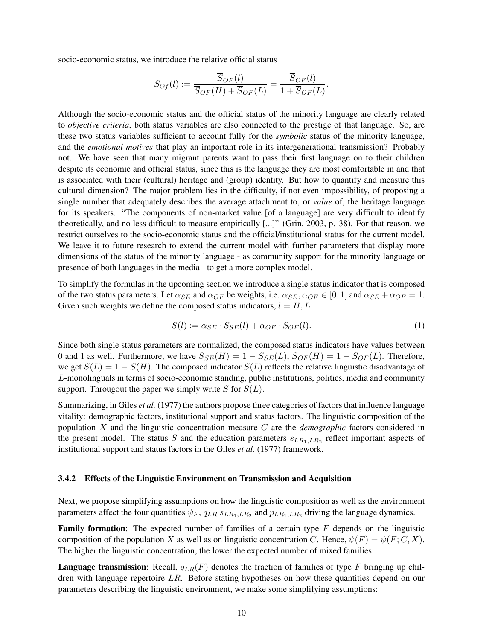socio-economic status, we introduce the relative official status

$$
S_{OF}(l) := \frac{S_{OF}(l)}{\overline{S}_{OF}(H) + \overline{S}_{OF}(L)} = \frac{S_{OF}(l)}{1 + \overline{S}_{OF}(L)}.
$$

Although the socio-economic status and the official status of the minority language are clearly related to *objective criteria*, both status variables are also connected to the prestige of that language. So, are these two status variables sufficient to account fully for the *symbolic* status of the minority language, and the *emotional motives* that play an important role in its intergenerational transmission? Probably not. We have seen that many migrant parents want to pass their first language on to their children despite its economic and official status, since this is the language they are most comfortable in and that is associated with their (cultural) heritage and (group) identity. But how to quantify and measure this cultural dimension? The major problem lies in the difficulty, if not even impossibility, of proposing a single number that adequately describes the average attachment to, or *value* of, the heritage language for its speakers. "The components of non-market value [of a language] are very difficult to identify theoretically, and no less difficult to measure empirically [...]" (Grin, 2003, p. 38). For that reason, we restrict ourselves to the socio-economic status and the official/institutional status for the current model. We leave it to future research to extend the current model with further parameters that display more dimensions of the status of the minority language - as community support for the minority language or presence of both languages in the media - to get a more complex model.

To simplify the formulas in the upcoming section we introduce a single status indicator that is composed of the two status parameters. Let  $\alpha_{SE}$  and  $\alpha_{OF}$  be weights, i.e.  $\alpha_{SE}$ ,  $\alpha_{OF} \in [0, 1]$  and  $\alpha_{SE} + \alpha_{OF} = 1$ . Given such weights we define the composed status indicators,  $l = H, L$ 

$$
S(l) := \alpha_{SE} \cdot S_{SE}(l) + \alpha_{OF} \cdot S_{OF}(l). \tag{1}
$$

Since both single status parameters are normalized, the composed status indicators have values between 0 and 1 as well. Furthermore, we have  $\overline{S}_{SE}(H) = 1 - \overline{S}_{SE}(L)$ ,  $\overline{S}_{OF}(H) = 1 - \overline{S}_{OF}(L)$ . Therefore, we get  $S(L) = 1 - S(H)$ . The composed indicator  $S(L)$  reflects the relative linguistic disadvantage of L-monolinguals in terms of socio-economic standing, public institutions, politics, media and community support. Througout the paper we simply write  $S$  for  $S(L)$ .

Summarizing, in Giles *et al.* (1977) the authors propose three categories of factors that influence language vitality: demographic factors, institutional support and status factors. The linguistic composition of the population X and the linguistic concentration measure C are the *demographic* factors considered in the present model. The status S and the education parameters  $s_{LR_1,LR_2}$  reflect important aspects of institutional support and status factors in the Giles *et al.* (1977) framework.

#### 3.4.2 Effects of the Linguistic Environment on Transmission and Acquisition

Next, we propose simplifying assumptions on how the linguistic composition as well as the environment parameters affect the four quantities  $\psi_F$ ,  $q_{LR} s_{LR_1,LR_2}$  and  $p_{LR_1,LR_2}$  driving the language dynamics.

**Family formation:** The expected number of families of a certain type  $F$  depends on the linguistic composition of the population X as well as on linguistic concentration C. Hence,  $\psi(F) = \psi(F; C, X)$ . The higher the linguistic concentration, the lower the expected number of mixed families.

**Language transmission:** Recall,  $q_{LR}(F)$  denotes the fraction of families of type F bringing up children with language repertoire LR. Before stating hypotheses on how these quantities depend on our parameters describing the linguistic environment, we make some simplifying assumptions: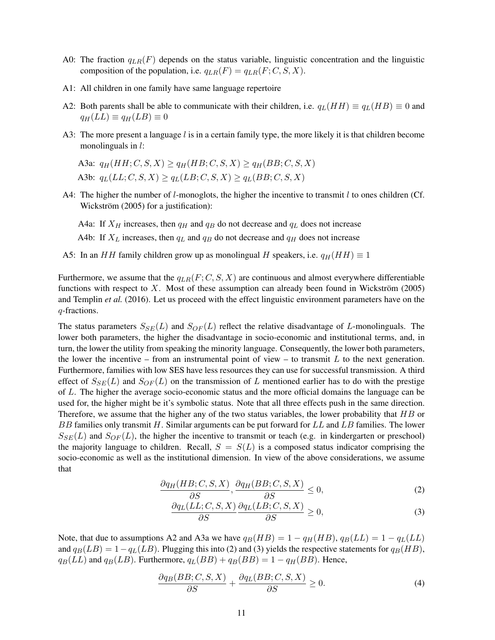- A0: The fraction  $q_{LR}(F)$  depends on the status variable, linguistic concentration and the linguistic composition of the population, i.e.  $q_{LR}(F) = q_{LR}(F; C, S, X)$ .
- A1: All children in one family have same language repertoire
- A2: Both parents shall be able to communicate with their children, i.e.  $q_L(HH) \equiv q_L(HB) \equiv 0$  and  $q_H(LL) \equiv q_H(LB) \equiv 0$
- A3: The more present a language  $l$  is in a certain family type, the more likely it is that children become monolinguals in *l*:
	- A3a:  $q_H(HH; C, S, X) \geq q_H(HB; C, S, X) \geq q_H(BB; C, S, X)$ A3b:  $q_L(LL; C, S, X) \geq q_L(LB; C, S, X) \geq q_L(BB; C, S, X)$
- A4: The higher the number of  $l$ -monoglots, the higher the incentive to transmit  $l$  to ones children (Cf. Wickström (2005) for a justification):

A4a: If  $X_H$  increases, then  $q_H$  and  $q_B$  do not decrease and  $q_L$  does not increase

- A4b: If  $X_L$  increases, then  $q_L$  and  $q_B$  do not decrease and  $q_H$  does not increase
- A5: In an HH family children grow up as monolingual H speakers, i.e.  $q_H(HH) \equiv 1$

Furthermore, we assume that the  $q_{LR}(F; C, S, X)$  are continuous and almost everywhere differentiable functions with respect to  $X$ . Most of these assumption can already been found in Wickström (2005) and Templin *et al.* (2016). Let us proceed with the effect linguistic environment parameters have on the q-fractions.

The status parameters  $S_{SE}(L)$  and  $S_{OF}(L)$  reflect the relative disadvantage of L-monolinguals. The lower both parameters, the higher the disadvantage in socio-economic and institutional terms, and, in turn, the lower the utility from speaking the minority language. Consequently, the lower both parameters, the lower the incentive – from an instrumental point of view – to transmit  $L$  to the next generation. Furthermore, families with low SES have less resources they can use for successful transmission. A third effect of  $S_{SE}(L)$  and  $S_{OF}(L)$  on the transmission of L mentioned earlier has to do with the prestige of L. The higher the average socio-economic status and the more official domains the language can be used for, the higher might be it's symbolic status. Note that all three effects push in the same direction. Therefore, we assume that the higher any of the two status variables, the lower probability that  $HB$  or BB families only transmit  $H$ . Similar arguments can be put forward for  $LL$  and  $LB$  families. The lower  $S_{SE}(L)$  and  $S_{OF}(L)$ , the higher the incentive to transmit or teach (e.g. in kindergarten or preschool) the majority language to children. Recall,  $S = S(L)$  is a composed status indicator comprising the socio-economic as well as the institutional dimension. In view of the above considerations, we assume that

$$
\frac{\partial q_H(HB;C,S,X)}{\partial S}, \frac{\partial q_H(BB;C,S,X)}{\partial S} \le 0,\tag{2}
$$

$$
\frac{\partial q_L(LL;C,S,X)}{\partial S} \frac{\partial q_L(LB;C,S,X)}{\partial S} \ge 0,\tag{3}
$$

Note, that due to assumptions A2 and A3a we have  $q_B(HB) = 1 - q_H(HB)$ ,  $q_B(LL) = 1 - q_L(LL)$ and  $q_B(LB) = 1 - q_L(LB)$ . Plugging this into (2) and (3) yields the respective statements for  $q_B(HB)$ ,  $q_B(LL)$  and  $q_B(LB)$ . Furthermore,  $q_L(BB) + q_B(BB) = 1 - q_H(BB)$ . Hence,

$$
\frac{\partial q_B(BB;C,S,X)}{\partial S} + \frac{\partial q_L(BB;C,S,X)}{\partial S} \ge 0.
$$
\n(4)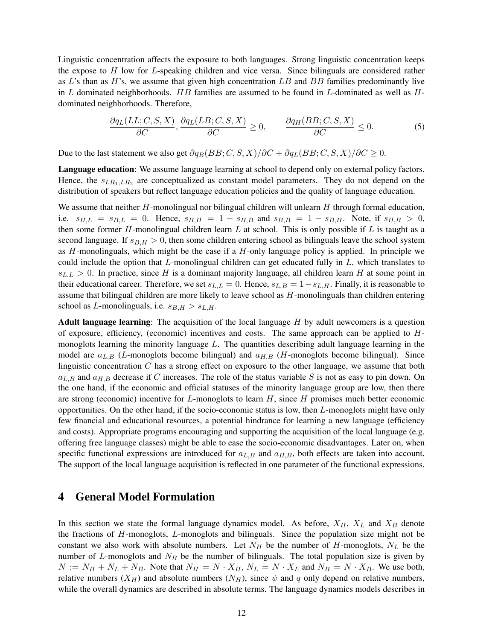Linguistic concentration affects the exposure to both languages. Strong linguistic concentration keeps the expose to H low for L-speaking children and vice versa. Since bilinguals are considered rather as  $L$ 's than as  $H$ 's, we assume that given high concentration  $LB$  and  $BB$  families predominantly live in L dominated neighborhoods.  $HB$  families are assumed to be found in L-dominated as well as  $H$ dominated neighborhoods. Therefore,

$$
\frac{\partial q_L(LL;C,S,X)}{\partial C}, \frac{\partial q_L(LB;C,S,X)}{\partial C} \ge 0, \qquad \frac{\partial q_H(BB;C,S,X)}{\partial C} \le 0.
$$
 (5)

Due to the last statement we also get  $\partial q_B(BB; C, S, X)/\partial C + \partial q_L(BB; C, S, X)/\partial C \geq 0$ .

Language education: We assume language learning at school to depend only on external policy factors. Hence, the  $s_{LR_1,LR_2}$  are conceptualized as constant model parameters. They do not depend on the distribution of speakers but reflect language education policies and the quality of language education.

We assume that neither  $H$ -monolingual nor bilingual children will unlearn  $H$  through formal education, i.e.  $s_{H,L} = s_{B,L} = 0$ . Hence,  $s_{H,H} = 1 - s_{H,B}$  and  $s_{B,B} = 1 - s_{B,H}$ . Note, if  $s_{H,B} > 0$ , then some former  $H$ -monolingual children learn  $L$  at school. This is only possible if  $L$  is taught as a second language. If  $s_{B,H} > 0$ , then some children entering school as bilinguals leave the school system as  $H$ -monolinguals, which might be the case if a  $H$ -only language policy is applied. In principle we could include the option that  $L$ -monolingual children can get educated fully in  $L$ , which translates to  $s_{L,L} > 0$ . In practice, since H is a dominant majority language, all children learn H at some point in their educational career. Therefore, we set  $s_{L,L} = 0$ . Hence,  $s_{L,B} = 1 - s_{L,H}$ . Finally, it is reasonable to assume that bilingual children are more likely to leave school as  $H$ -monolinguals than children entering school as L-monolinguals, i.e.  $s_{B,H} > s_{L,H}$ .

**Adult language learning:** The acquisition of the local language  $H$  by adult newcomers is a question of exposure, efficiency, (economic) incentives and costs. The same approach can be applied to  $H$ monoglots learning the minority language  $L$ . The quantities describing adult language learning in the model are  $a_{L,B}$  (L-monoglots become bilingual) and  $a_{H,B}$  (H-monoglots become bilingual). Since linguistic concentration C has a strong effect on exposure to the other language, we assume that both  $a_{L,B}$  and  $a_{H,B}$  decrease if C increases. The role of the status variable S is not as easy to pin down. On the one hand, if the economic and official statuses of the minority language group are low, then there are strong (economic) incentive for  $L$ -monoglots to learn  $H$ , since  $H$  promises much better economic opportunities. On the other hand, if the socio-economic status is low, then  $L$ -monoglots might have only few financial and educational resources, a potential hindrance for learning a new language (efficiency and costs). Appropriate programs encouraging and supporting the acquisition of the local language (e.g. offering free language classes) might be able to ease the socio-economic disadvantages. Later on, when specific functional expressions are introduced for  $a_{L,B}$  and  $a_{H,B}$ , both effects are taken into account. The support of the local language acquisition is reflected in one parameter of the functional expressions.

# 4 General Model Formulation

In this section we state the formal language dynamics model. As before,  $X_H$ ,  $X_L$  and  $X_B$  denote the fractions of H-monoglots, L-monoglots and bilinguals. Since the population size might not be constant we also work with absolute numbers. Let  $N_H$  be the number of H-monoglots,  $N_L$  be the number of L-monoglots and  $N_B$  be the number of bilinguals. The total population size is given by  $N := N_H + N_L + N_B$ . Note that  $N_H = N \cdot X_H$ ,  $N_L = N \cdot X_L$  and  $N_B = N \cdot X_B$ . We use both, relative numbers  $(X_H)$  and absolute numbers  $(N_H)$ , since  $\psi$  and q only depend on relative numbers, while the overall dynamics are described in absolute terms. The language dynamics models describes in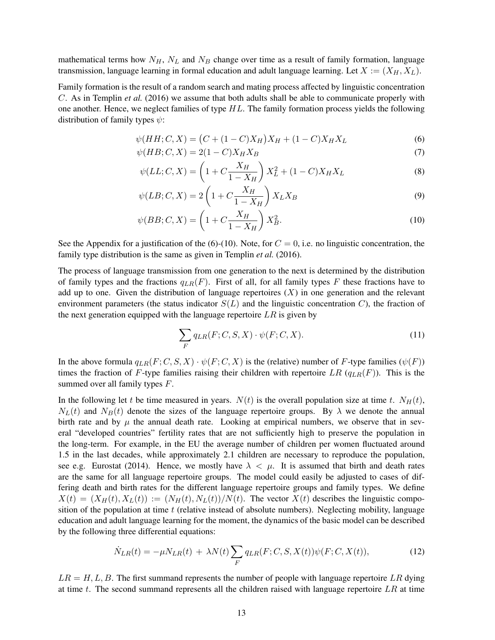mathematical terms how  $N_H$ ,  $N_L$  and  $N_B$  change over time as a result of family formation, language transmission, language learning in formal education and adult language learning. Let  $X := (X_H, X_L)$ .

Family formation is the result of a random search and mating process affected by linguistic concentration C. As in Templin *et al.* (2016) we assume that both adults shall be able to communicate properly with one another. Hence, we neglect families of type  $HL$ . The family formation process yields the following distribution of family types  $\psi$ :

$$
\psi(HH;C,X) = (C + (1 - C)X_H)X_H + (1 - C)X_HX_L
$$
\n(6)

$$
\psi(HB;C,X) = 2(1-C)X_HX_B
$$
\n(7)

$$
\psi(LL;C,X) = \left(1 + C \frac{X_H}{1 - X_H}\right) X_L^2 + (1 - C) X_H X_L \tag{8}
$$

$$
\psi(LB;C,X) = 2\left(1 + C\frac{X_H}{1 - X_H}\right)X_LX_B\tag{9}
$$

$$
\psi(BB;C,X) = \left(1 + C \frac{X_H}{1 - X_H}\right) X_B^2. \tag{10}
$$

See the Appendix for a justification of the (6)-(10). Note, for  $C = 0$ , i.e. no linguistic concentration, the family type distribution is the same as given in Templin *et al.* (2016).

The process of language transmission from one generation to the next is determined by the distribution of family types and the fractions  $q_{LR}(F)$ . First of all, for all family types F these fractions have to add up to one. Given the distribution of language repertoires  $(X)$  in one generation and the relevant environment parameters (the status indicator  $S(L)$  and the linguistic concentration C), the fraction of the next generation equipped with the language repertoire  $LR$  is given by

$$
\sum_{F} q_{LR}(F; C, S, X) \cdot \psi(F; C, X). \tag{11}
$$

In the above formula  $q_{LR}(F; C, S, X) \cdot \psi(F; C, X)$  is the (relative) number of F-type families ( $\psi(F)$ ) times the fraction of F-type families raising their children with repertoire LR  $(q_{LR}(F))$ . This is the summed over all family types F.

In the following let t be time measured in years.  $N(t)$  is the overall population size at time t.  $N_H(t)$ ,  $N_L(t)$  and  $N_B(t)$  denote the sizes of the language repertoire groups. By  $\lambda$  we denote the annual birth rate and by  $\mu$  the annual death rate. Looking at empirical numbers, we observe that in several "developed countries" fertility rates that are not sufficiently high to preserve the population in the long-term. For example, in the EU the average number of children per women fluctuated around 1.5 in the last decades, while approximately 2.1 children are necessary to reproduce the population, see e.g. Eurostat (2014). Hence, we mostly have  $\lambda < \mu$ . It is assumed that birth and death rates are the same for all language repertoire groups. The model could easily be adjusted to cases of differing death and birth rates for the different language repertoire groups and family types. We define  $X(t) = (X_H(t), X_L(t)) := (N_H(t), N_L(t))/N(t)$ . The vector  $X(t)$  describes the linguistic composition of the population at time  $t$  (relative instead of absolute numbers). Neglecting mobility, language education and adult language learning for the moment, the dynamics of the basic model can be described by the following three differential equations:

$$
\dot{N}_{LR}(t) = -\mu N_{LR}(t) + \lambda N(t) \sum_{F} q_{LR}(F; C, S, X(t)) \psi(F; C, X(t)), \tag{12}
$$

 $LR = H, L, B$ . The first summand represents the number of people with language repertoire LR dying at time  $t$ . The second summand represents all the children raised with language repertoire  $LR$  at time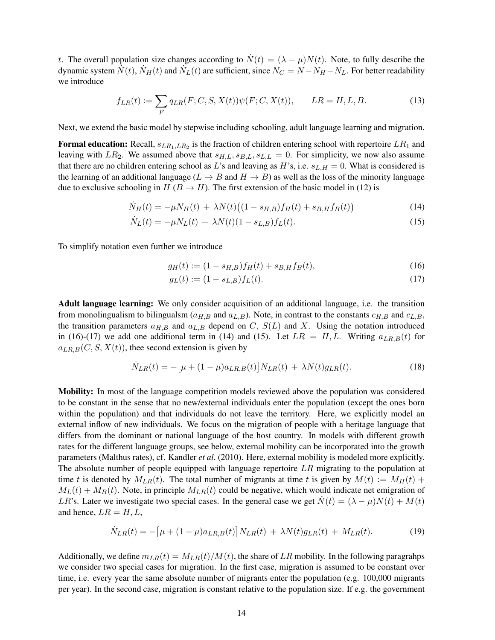t. The overall population size changes according to  $\dot{N}(t) = (\lambda - \mu)N(t)$ . Note, to fully describe the dynamic system  $\dot{N}(t)$ ,  $\dot{N}_H(t)$  and  $\dot{N}_L(t)$  are sufficient, since  $N_C = N - N_H - N_L$ . For better readability we introduce

$$
f_{LR}(t) := \sum_{F} q_{LR}(F; C, S, X(t)) \psi(F; C, X(t)), \qquad LR = H, L, B. \tag{13}
$$

Next, we extend the basic model by stepwise including schooling, adult language learning and migration.

**Formal education:** Recall,  $s_{LR_1,LR_2}$  is the fraction of children entering school with repertoire  $LR_1$  and leaving with  $LR_2$ . We assumed above that  $s_{H,L}, s_{B,L}, s_{L,L} = 0$ . For simplicity, we now also assume that there are no children entering school as L's and leaving as H's, i.e.  $s_{L,H} = 0$ . What is considered is the learning of an additional language ( $L \rightarrow B$  and  $H \rightarrow B$ ) as well as the loss of the minority language due to exclusive schooling in  $H (B \to H)$ . The first extension of the basic model in (12) is

$$
\dot{N}_H(t) = -\mu N_H(t) + \lambda N(t) \big( (1 - s_{H,B}) f_H(t) + s_{B,H} f_B(t) \big) \tag{14}
$$

$$
\dot{N}_L(t) = -\mu N_L(t) + \lambda N(t)(1 - s_{L,B})f_L(t).
$$
\n(15)

To simplify notation even further we introduce

 $\ddot{\phantom{a}}$ 

$$
g_H(t) := (1 - s_{H,B})f_H(t) + s_{B,H}f_B(t),
$$
\n(16)

$$
g_L(t) := (1 - s_{L,B}) f_L(t). \tag{17}
$$

Adult language learning: We only consider acquisition of an additional language, i.e. the transition from monolingualism to bilingualsm ( $a_{H,B}$  and  $a_{L,B}$ ). Note, in contrast to the constants  $c_{H,B}$  and  $c_{L,B}$ , the transition parameters  $a_{H,B}$  and  $a_{L,B}$  depend on C,  $S(L)$  and X. Using the notation introduced in (16)-(17) we add one additional term in (14) and (15). Let  $LR = H, L$ . Writing  $a_{LR,B}(t)$  for  $a_{LR,B}(C, S, X(t))$ , thee second extension is given by

$$
\dot{N}_{LR}(t) = -\left[\mu + (1 - \mu)a_{LR,B}(t)\right]N_{LR}(t) + \lambda N(t)g_{LR}(t). \tag{18}
$$

Mobility: In most of the language competition models reviewed above the population was considered to be constant in the sense that no new/external individuals enter the population (except the ones born within the population) and that individuals do not leave the territory. Here, we explicitly model an external inflow of new individuals. We focus on the migration of people with a heritage language that differs from the dominant or national language of the host country. In models with different growth rates for the different language groups, see below, external mobility can be incorporated into the growth parameters (Malthus rates), cf. Kandler *et al.* (2010). Here, external mobility is modeled more explicitly. The absolute number of people equipped with language repertoire  $LR$  migrating to the population at time t is denoted by  $M_{LR}(t)$ . The total number of migrants at time t is given by  $M(t) := M_H(t) +$  $M_L(t) + M_B(t)$ . Note, in principle  $M_{LR}(t)$  could be negative, which would indicate net emigration of LR's. Later we investigate two special cases. In the general case we get  $N(t) = (\lambda - \mu)N(t) + M(t)$ and hence,  $LR = H, L$ ,

$$
\dot{N}_{LR}(t) = -\left[\mu + (1 - \mu)a_{LR,B}(t)\right]N_{LR}(t) + \lambda N(t)g_{LR}(t) + M_{LR}(t). \tag{19}
$$

Additionally, we define  $m_{LR}(t) = M_{LR}(t)/M(t)$ , the share of LR mobility. In the following paragrahps we consider two special cases for migration. In the first case, migration is assumed to be constant over time, i.e. every year the same absolute number of migrants enter the population (e.g. 100,000 migrants per year). In the second case, migration is constant relative to the population size. If e.g. the government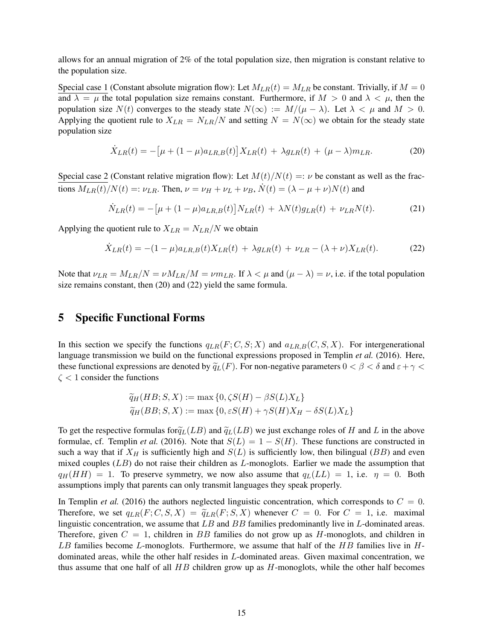allows for an annual migration of 2% of the total population size, then migration is constant relative to the population size.

Special case 1 (Constant absolute migration flow): Let  $M_{LR}(t) = M_{LR}$  be constant. Trivially, if  $M = 0$ and  $\lambda = \mu$  the total population size remains constant. Furthermore, if  $M > 0$  and  $\lambda < \mu$ , then the population size  $N(t)$  converges to the steady state  $N(\infty) := M/(\mu - \lambda)$ . Let  $\lambda < \mu$  and  $M > 0$ . Applying the quotient rule to  $X_{LR} = N_{LR}/N$  and setting  $N = N(\infty)$  we obtain for the steady state population size

$$
\dot{X}_{LR}(t) = -\left[\mu + (1 - \mu)a_{LR,B}(t)\right]X_{LR}(t) + \lambda g_{LR}(t) + (\mu - \lambda)m_{LR}.
$$
 (20)

Special case 2 (Constant relative migration flow): Let  $M(t)/N(t) =: \nu$  be constant as well as the fractions  $M_{LR}(t)/N(t) =: \nu_{LR}$ . Then,  $\nu = \nu_H + \nu_L + \nu_B$ ,  $\dot{N}(t) = (\lambda - \mu + \nu)N(t)$  and

$$
\dot{N}_{LR}(t) = -\left[\mu + (1 - \mu)a_{LR,B}(t)\right]N_{LR}(t) + \lambda N(t)g_{LR}(t) + \nu_{LR}N(t). \tag{21}
$$

Applying the quotient rule to  $X_{LR} = N_{LR}/N$  we obtain

$$
\dot{X}_{LR}(t) = -(1 - \mu)a_{LR,B}(t)X_{LR}(t) + \lambda g_{LR}(t) + \nu_{LR} - (\lambda + \nu)X_{LR}(t). \tag{22}
$$

Note that  $\nu_{LR} = M_{LR}/N = \nu M_{LR}/M = \nu m_{LR}$ . If  $\lambda < \mu$  and  $(\mu - \lambda) = \nu$ , i.e. if the total population size remains constant, then (20) and (22) yield the same formula.

# 5 Specific Functional Forms

In this section we specify the functions  $q_{LR}(F; C, S; X)$  and  $q_{LR,B}(C, S, X)$ . For intergenerational language transmission we build on the functional expressions proposed in Templin *et al.* (2016). Here, these functional expressions are denoted by  $\tilde{q}_L(F)$ . For non-negative parameters  $0 < \beta < \delta$  and  $\varepsilon + \gamma <$  $\zeta$  < 1 consider the functions

$$
\widetilde{q}_H(HB; S, X) := \max \{0, \zeta S(H) - \beta S(L)X_L\}
$$
  

$$
\widetilde{q}_H(BB; S, X) := \max \{0, \varepsilon S(H) + \gamma S(H)X_H - \delta S(L)X_L\}
$$

To get the respective formulas for  $\tilde{q}_L(LB)$  and  $\tilde{q}_L(LB)$  we just exchange roles of H and L in the above formulae, cf. Templin *et al.* (2016). Note that  $S(L) = 1 - S(H)$ . These functions are constructed in such a way that if  $X_H$  is sufficiently high and  $S(L)$  is sufficiently low, then bilingual (BB) and even mixed couples  $(LB)$  do not raise their children as  $L$ -monoglots. Earlier we made the assumption that  $q_H(HH) = 1$ . To preserve symmetry, we now also assume that  $q_L(LL) = 1$ , i.e.  $\eta = 0$ . Both assumptions imply that parents can only transmit languages they speak properly.

In Templin *et al.* (2016) the authors neglected linguistic concentration, which corresponds to  $C = 0$ . Therefore, we set  $q_{LR}(F; C, S, X) = \tilde{q}_{LR}(F; S, X)$  whenever  $C = 0$ . For  $C = 1$ , i.e. maximal linguistic concentration, we assume that  $LB$  and  $BB$  families predominantly live in  $L$ -dominated areas. Therefore, given  $C = 1$ , children in BB families do not grow up as H-monoglots, and children in LB families become L-monoglots. Furthermore, we assume that half of the  $HB$  families live in  $H$ dominated areas, while the other half resides in L-dominated areas. Given maximal concentration, we thus assume that one half of all  $HB$  children grow up as  $H$ -monoglots, while the other half becomes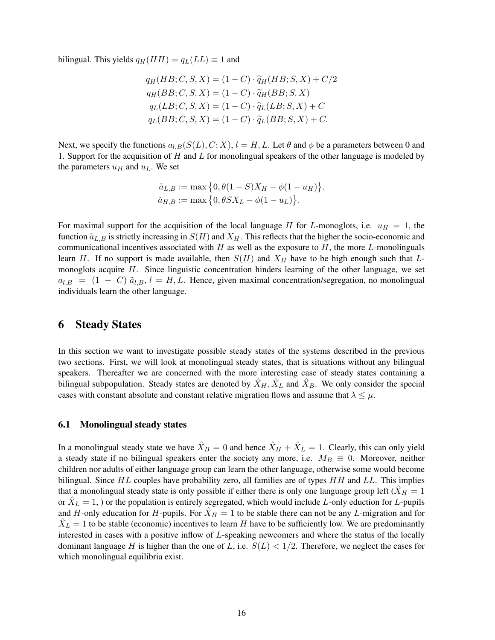bilingual. This yields  $q_H(HH) = q_L(LL) \equiv 1$  and

$$
q_H(HB; C, S, X) = (1 - C) \cdot \widetilde{q}_H(HB; S, X) + C/2
$$
  
\n
$$
q_H(BB; C, S, X) = (1 - C) \cdot \widetilde{q}_H(BB; S, X)
$$
  
\n
$$
q_L(LB; C, S, X) = (1 - C) \cdot \widetilde{q}_L(LB; S, X) + C
$$
  
\n
$$
q_L(BB; C, S, X) = (1 - C) \cdot \widetilde{q}_L(BB; S, X) + C.
$$

Next, we specify the functions  $a_{l,B}(S(L), C; X)$ ,  $l = H, L$ . Let  $\theta$  and  $\phi$  be a parameters between 0 and 1. Support for the acquisition of  $H$  and  $L$  for monolingual speakers of the other language is modeled by the parameters  $u_H$  and  $u_L$ . We set

$$
\tilde{a}_{L,B} := \max \{ 0, \theta(1-S)X_H - \phi(1-u_H) \}, \n\tilde{a}_{H,B} := \max \{ 0, \theta S X_L - \phi(1-u_L) \}.
$$

For maximal support for the acquisition of the local language H for L-monoglots, i.e.  $u_H = 1$ , the function  $\tilde{a}_{L,B}$  is strictly increasing in  $S(H)$  and  $X_H$ . This reflects that the higher the socio-economic and communicational incentives associated with  $H$  as well as the exposure to  $H$ , the more  $L$ -monolinguals learn H. If no support is made available, then  $S(H)$  and  $X_H$  have to be high enough such that Lmonoglots acquire H. Since linguistic concentration hinders learning of the other language, we set  $a_{l,B}$  =  $(1 - C)$   $\tilde{a}_{l,B}$ ,  $l = H, L$ . Hence, given maximal concentration/segregation, no monolingual individuals learn the other language.

## 6 Steady States

In this section we want to investigate possible steady states of the systems described in the previous two sections. First, we will look at monolingual steady states, that is situations without any bilingual speakers. Thereafter we are concerned with the more interesting case of steady states containing a bilingual subpopulation. Steady states are denoted by  $\hat{X}_H, \hat{X}_L$  and  $\hat{X}_B$ . We only consider the special cases with constant absolute and constant relative migration flows and assume that  $\lambda \leq \mu$ .

#### 6.1 Monolingual steady states

In a monolingual steady state we have  $\hat{X}_B = 0$  and hence  $\hat{X}_H + \hat{X}_L = 1$ . Clearly, this can only yield a steady state if no bilingual speakers enter the society any more, i.e.  $M_B \equiv 0$ . Moreover, neither children nor adults of either language group can learn the other language, otherwise some would become bilingual. Since  $HL$  couples have probability zero, all families are of types  $HH$  and  $LL$ . This implies that a monolingual steady state is only possible if either there is only one language group left ( $\ddot{X}_H = 1$ ) or  $\hat{X}_L = 1$ , ) or the population is entirely segregated, which would include L-only eduction for L-pupils and H-only education for H-pupils. For  $\hat{X}_H = 1$  to be stable there can not be any L-migration and for  $\hat{X}_L = 1$  to be stable (economic) incentives to learn H have to be sufficiently low. We are predominantly interested in cases with a positive inflow of L-speaking newcomers and where the status of the locally dominant language H is higher than the one of L, i.e.  $S(L) < 1/2$ . Therefore, we neglect the cases for which monolingual equilibria exist.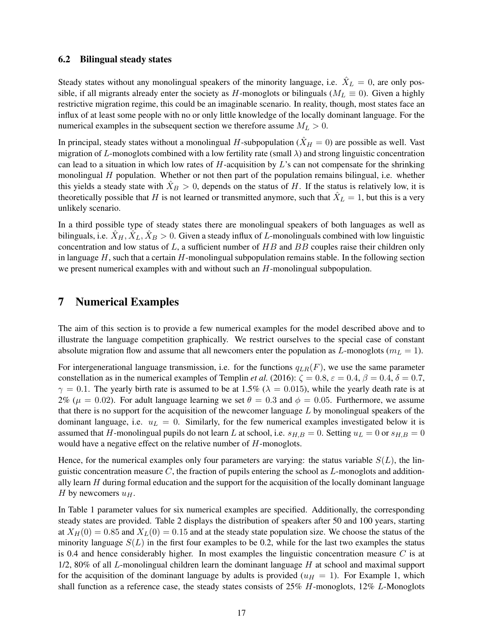#### 6.2 Bilingual steady states

Steady states without any monolingual speakers of the minority language, i.e.  $\hat{X}_L = 0$ , are only possible, if all migrants already enter the society as H-monoglots or bilinguals ( $M_L \equiv 0$ ). Given a highly restrictive migration regime, this could be an imaginable scenario. In reality, though, most states face an influx of at least some people with no or only little knowledge of the locally dominant language. For the numerical examples in the subsequent section we therefore assume  $M_L > 0$ .

In principal, steady states without a monolingual H-subpopulation ( $\hat{X}_H = 0$ ) are possible as well. Vast migration of L-monoglots combined with a low fertility rate (small  $\lambda$ ) and strong linguistic concentration can lead to a situation in which low rates of  $H$ -acquisition by  $L$ 's can not compensate for the shrinking monolingual  $H$  population. Whether or not then part of the population remains bilingual, i.e. whether this yields a steady state with  $\hat{X}_B > 0$ , depends on the status of H. If the status is relatively low, it is theoretically possible that H is not learned or transmitted anymore, such that  $\hat{X}_L = 1$ , but this is a very unlikely scenario.

In a third possible type of steady states there are monolingual speakers of both languages as well as bilinguals, i.e.  $\hat{X}_H, \hat{X}_L, \hat{X}_B > 0$ . Given a steady influx of L-monolinguals combined with low linguistic concentration and low status of  $L$ , a sufficient number of  $HB$  and  $BB$  couples raise their children only in language  $H$ , such that a certain  $H$ -monolingual subpopulation remains stable. In the following section we present numerical examples with and without such an H-monolingual subpopulation.

## 7 Numerical Examples

The aim of this section is to provide a few numerical examples for the model described above and to illustrate the language competition graphically. We restrict ourselves to the special case of constant absolute migration flow and assume that all newcomers enter the population as  $L$ -monoglots ( $m<sub>L</sub> = 1$ ).

For intergenerational language transmission, i.e. for the functions  $q_{LR}(F)$ , we use the same parameter constellation as in the numerical examples of Templin *et al.* (2016):  $\zeta = 0.8$ ,  $\varepsilon = 0.4$ ,  $\beta = 0.4$ ,  $\delta = 0.7$ ,  $\gamma = 0.1$ . The yearly birth rate is assumed to be at 1.5% ( $\lambda = 0.015$ ), while the yearly death rate is at 2% ( $\mu = 0.02$ ). For adult language learning we set  $\theta = 0.3$  and  $\phi = 0.05$ . Furthermore, we assume that there is no support for the acquisition of the newcomer language  $L$  by monolingual speakers of the dominant language, i.e.  $u_L = 0$ . Similarly, for the few numerical examples investigated below it is assumed that H-monolingual pupils do not learn L at school, i.e.  $s_{H,B} = 0$ . Setting  $u_L = 0$  or  $s_{H,B} = 0$ would have a negative effect on the relative number of  $H$ -monoglots.

Hence, for the numerical examples only four parameters are varying: the status variable  $S(L)$ , the linguistic concentration measure  $C$ , the fraction of pupils entering the school as  $L$ -monoglots and additionally learn  $H$  during formal education and the support for the acquisition of the locally dominant language H by newcomers  $u_H$ .

In Table 1 parameter values for six numerical examples are specified. Additionally, the corresponding steady states are provided. Table 2 displays the distribution of speakers after 50 and 100 years, starting at  $X_H(0) = 0.85$  and  $X_L(0) = 0.15$  and at the steady state population size. We choose the status of the minority language  $S(L)$  in the first four examples to be 0.2, while for the last two examples the status is 0.4 and hence considerably higher. In most examples the linguistic concentration measure  $C$  is at  $1/2$ , 80% of all L-monolingual children learn the dominant language H at school and maximal support for the acquisition of the dominant language by adults is provided  $(u_H = 1)$ . For Example 1, which shall function as a reference case, the steady states consists of  $25\%$  H-monoglots,  $12\%$  L-Monoglots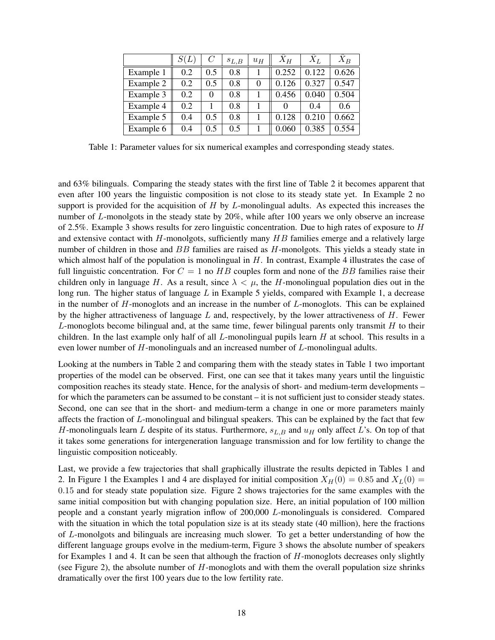|           | S(L) | $\overline{C}$ | $S_{L,B}$ | $u_H$    | $X_H$ | $X_L$ | $X_B$ |
|-----------|------|----------------|-----------|----------|-------|-------|-------|
| Example 1 | 0.2  | $0.5^{\circ}$  | 0.8       |          | 0.252 | 0.122 | 0.626 |
| Example 2 | 0.2  | 0.5            | 0.8       | $\theta$ | 0.126 | 0.327 | 0.547 |
| Example 3 | 0.2  | $\Omega$       | 0.8       |          | 0.456 | 0.040 | 0.504 |
| Example 4 | 0.2  |                | 0.8       |          |       | 0.4   | 0.6   |
| Example 5 | 0.4  | 0.5            | 0.8       |          | 0.128 | 0.210 | 0.662 |
| Example 6 | 0.4  | 0.5            | 0.5       |          | 0.060 | 0.385 | 0.554 |

Table 1: Parameter values for six numerical examples and corresponding steady states.

and 63% bilinguals. Comparing the steady states with the first line of Table 2 it becomes apparent that even after 100 years the linguistic composition is not close to its steady state yet. In Example 2 no support is provided for the acquisition of  $H$  by  $L$ -monolingual adults. As expected this increases the number of L-monolgots in the steady state by 20%, while after 100 years we only observe an increase of 2.5%. Example 3 shows results for zero linguistic concentration. Due to high rates of exposure to  $H$ and extensive contact with  $H$ -monolgots, sufficiently many  $HB$  families emerge and a relatively large number of children in those and BB families are raised as H-monolgots. This yields a steady state in which almost half of the population is monolingual in  $H$ . In contrast, Example 4 illustrates the case of full linguistic concentration. For  $C = 1$  no  $HB$  couples form and none of the BB families raise their children only in language H. As a result, since  $\lambda < \mu$ , the H-monolingual population dies out in the long run. The higher status of language  $L$  in Example 5 yields, compared with Example 1, a decrease in the number of  $H$ -monoglots and an increase in the number of  $L$ -monoglots. This can be explained by the higher attractiveness of language  $L$  and, respectively, by the lower attractiveness of  $H$ . Fewer L-monoglots become bilingual and, at the same time, fewer bilingual parents only transmit  $H$  to their children. In the last example only half of all  $L$ -monolingual pupils learn  $H$  at school. This results in a even lower number of H-monolinguals and an increased number of L-monolingual adults.

Looking at the numbers in Table 2 and comparing them with the steady states in Table 1 two important properties of the model can be observed. First, one can see that it takes many years until the linguistic composition reaches its steady state. Hence, for the analysis of short- and medium-term developments – for which the parameters can be assumed to be constant – it is not sufficient just to consider steady states. Second, one can see that in the short- and medium-term a change in one or more parameters mainly affects the fraction of L-monolingual and bilingual speakers. This can be explained by the fact that few H-monolinguals learn L despite of its status. Furthermore,  $s_{L,B}$  and  $u_H$  only affect L's. On top of that it takes some generations for intergeneration language transmission and for low fertility to change the linguistic composition noticeably.

Last, we provide a few trajectories that shall graphically illustrate the results depicted in Tables 1 and 2. In Figure 1 the Examples 1 and 4 are displayed for initial composition  $X_H(0) = 0.85$  and  $X_L(0) =$ 0.15 and for steady state population size. Figure 2 shows trajectories for the same examples with the same initial composition but with changing population size. Here, an initial population of 100 million people and a constant yearly migration inflow of 200,000 L-monolinguals is considered. Compared with the situation in which the total population size is at its steady state (40 million), here the fractions of L-monolgots and bilinguals are increasing much slower. To get a better understanding of how the different language groups evolve in the medium-term, Figure 3 shows the absolute number of speakers for Examples 1 and 4. It can be seen that although the fraction of  $H$ -monoglots decreases only slightly (see Figure 2), the absolute number of  $H$ -monoglots and with them the overall population size shrinks dramatically over the first 100 years due to the low fertility rate.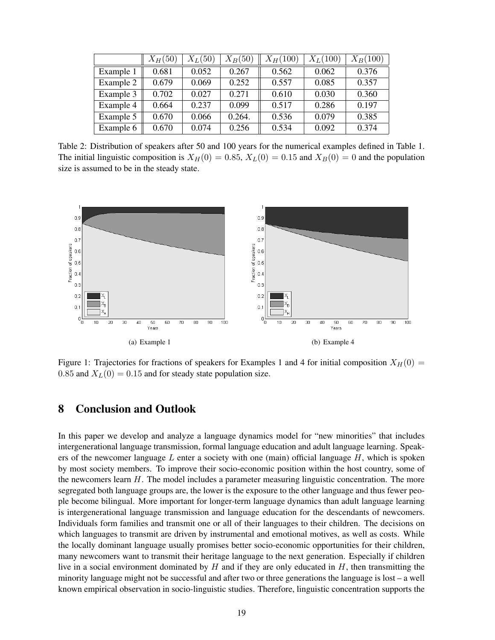|           | $X_H(50)$ | $X_L(50)$ | $X_B(50)$ | $X_H(100)$ | $X_L(100)$ | $X_{B}(100)$ |
|-----------|-----------|-----------|-----------|------------|------------|--------------|
| Example 1 | 0.681     | 0.052     | 0.267     | 0.562      | 0.062      | 0.376        |
| Example 2 | 0.679     | 0.069     | 0.252     | 0.557      | 0.085      | 0.357        |
| Example 3 | 0.702     | 0.027     | 0.271     | 0.610      | 0.030      | 0.360        |
| Example 4 | 0.664     | 0.237     | 0.099     | 0.517      | 0.286      | 0.197        |
| Example 5 | 0.670     | 0.066     | 0.264.    | 0.536      | 0.079      | 0.385        |
| Example 6 | 0.670     | 0.074     | 0.256     | 0.534      | 0.092      | 0.374        |

Table 2: Distribution of speakers after 50 and 100 years for the numerical examples defined in Table 1. The initial linguistic composition is  $X_H(0) = 0.85$ ,  $X_L(0) = 0.15$  and  $X_B(0) = 0$  and the population size is assumed to be in the steady state.



Figure 1: Trajectories for fractions of speakers for Examples 1 and 4 for initial composition  $X_H(0)$  = 0.85 and  $X_L(0) = 0.15$  and for steady state population size.

# 8 Conclusion and Outlook

In this paper we develop and analyze a language dynamics model for "new minorities" that includes intergenerational language transmission, formal language education and adult language learning. Speakers of the newcomer language  $L$  enter a society with one (main) official language  $H$ , which is spoken by most society members. To improve their socio-economic position within the host country, some of the newcomers learn  $H$ . The model includes a parameter measuring linguistic concentration. The more segregated both language groups are, the lower is the exposure to the other language and thus fewer people become bilingual. More important for longer-term language dynamics than adult language learning is intergenerational language transmission and language education for the descendants of newcomers. Individuals form families and transmit one or all of their languages to their children. The decisions on which languages to transmit are driven by instrumental and emotional motives, as well as costs. While the locally dominant language usually promises better socio-economic opportunities for their children, many newcomers want to transmit their heritage language to the next generation. Especially if children live in a social environment dominated by  $H$  and if they are only educated in  $H$ , then transmitting the minority language might not be successful and after two or three generations the language is lost – a well known empirical observation in socio-linguistic studies. Therefore, linguistic concentration supports the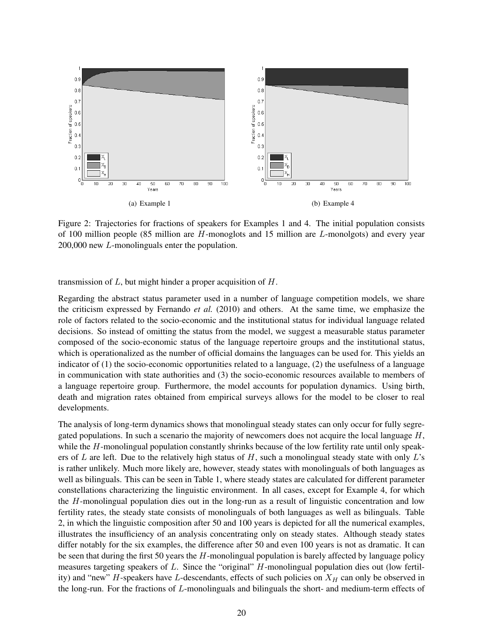

Figure 2: Trajectories for fractions of speakers for Examples 1 and 4. The initial population consists of 100 million people (85 million are  $H$ -monoglots and 15 million are  $L$ -monolgots) and every year 200,000 new L-monolinguals enter the population.

transmission of  $L$ , but might hinder a proper acquisition of  $H$ .

Regarding the abstract status parameter used in a number of language competition models, we share the criticism expressed by Fernando *et al.* (2010) and others. At the same time, we emphasize the role of factors related to the socio-economic and the institutional status for individual language related decisions. So instead of omitting the status from the model, we suggest a measurable status parameter composed of the socio-economic status of the language repertoire groups and the institutional status, which is operationalized as the number of official domains the languages can be used for. This yields an indicator of (1) the socio-economic opportunities related to a language, (2) the usefulness of a language in communication with state authorities and (3) the socio-economic resources available to members of a language repertoire group. Furthermore, the model accounts for population dynamics. Using birth, death and migration rates obtained from empirical surveys allows for the model to be closer to real developments.

The analysis of long-term dynamics shows that monolingual steady states can only occur for fully segregated populations. In such a scenario the majority of newcomers does not acquire the local language  $H$ , while the H-monolingual population constantly shrinks because of the low fertility rate until only speakers of L are left. Due to the relatively high status of H, such a monolingual steady state with only  $L$ 's is rather unlikely. Much more likely are, however, steady states with monolinguals of both languages as well as bilinguals. This can be seen in Table 1, where steady states are calculated for different parameter constellations characterizing the linguistic environment. In all cases, except for Example 4, for which the H-monolingual population dies out in the long-run as a result of linguistic concentration and low fertility rates, the steady state consists of monolinguals of both languages as well as bilinguals. Table 2, in which the linguistic composition after 50 and 100 years is depicted for all the numerical examples, illustrates the insufficiency of an analysis concentrating only on steady states. Although steady states differ notably for the six examples, the difference after 50 and even 100 years is not as dramatic. It can be seen that during the first 50 years the  $H$ -monolingual population is barely affected by language policy measures targeting speakers of L. Since the "original" H-monolingual population dies out (low fertility) and "new" H-speakers have L-descendants, effects of such policies on  $X_H$  can only be observed in the long-run. For the fractions of L-monolinguals and bilinguals the short- and medium-term effects of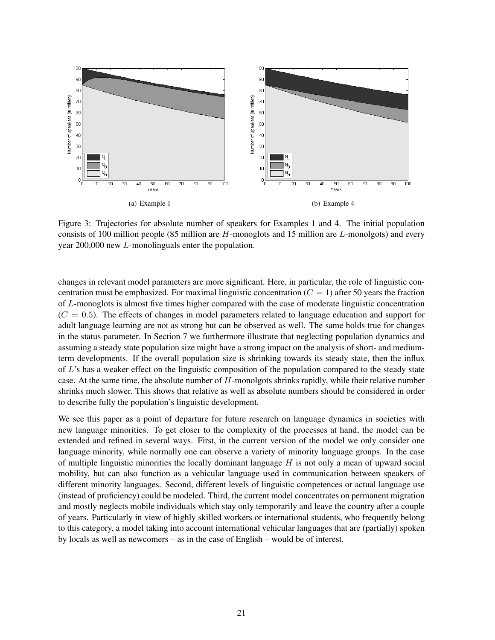

Figure 3: Trajectories for absolute number of speakers for Examples 1 and 4. The initial population consists of 100 million people (85 million are  $H$ -monoglots and 15 million are  $L$ -monolgots) and every year 200,000 new L-monolinguals enter the population.

changes in relevant model parameters are more significant. Here, in particular, the role of linguistic concentration must be emphasized. For maximal linguistic concentration  $(C = 1)$  after 50 years the fraction of L-monoglots is almost five times higher compared with the case of moderate linguistic concentration  $(C = 0.5)$ . The effects of changes in model parameters related to language education and support for adult language learning are not as strong but can be observed as well. The same holds true for changes in the status parameter. In Section 7 we furthermore illustrate that neglecting population dynamics and assuming a steady state population size might have a strong impact on the analysis of short- and mediumterm developments. If the overall population size is shrinking towards its steady state, then the influx of  $L$ 's has a weaker effect on the linguistic composition of the population compared to the steady state case. At the same time, the absolute number of  $H$ -monolgots shrinks rapidly, while their relative number shrinks much slower. This shows that relative as well as absolute numbers should be considered in order to describe fully the population's linguistic development.

We see this paper as a point of departure for future research on language dynamics in societies with new language minorities. To get closer to the complexity of the processes at hand, the model can be extended and refined in several ways. First, in the current version of the model we only consider one language minority, while normally one can observe a variety of minority language groups. In the case of multiple linguistic minorities the locally dominant language  $H$  is not only a mean of upward social mobility, but can also function as a vehicular language used in communication between speakers of different minority languages. Second, different levels of linguistic competences or actual language use (instead of proficiency) could be modeled. Third, the current model concentrates on permanent migration and mostly neglects mobile individuals which stay only temporarily and leave the country after a couple of years. Particularly in view of highly skilled workers or international students, who frequently belong to this category, a model taking into account international vehicular languages that are (partially) spoken by locals as well as newcomers – as in the case of English – would be of interest.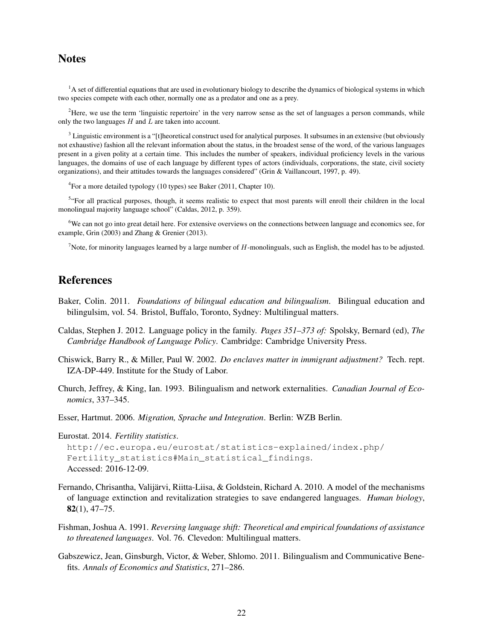# **Notes**

<sup>1</sup>A set of differential equations that are used in evolutionary biology to describe the dynamics of biological systems in which two species compete with each other, normally one as a predator and one as a prey.

 ${}^{2}$ Here, we use the term 'linguistic repertoire' in the very narrow sense as the set of languages a person commands, while only the two languages  $H$  and  $L$  are taken into account.

<sup>3</sup> Linguistic environment is a "[t]heoretical construct used for analytical purposes. It subsumes in an extensive (but obviously not exhaustive) fashion all the relevant information about the status, in the broadest sense of the word, of the various languages present in a given polity at a certain time. This includes the number of speakers, individual proficiency levels in the various languages, the domains of use of each language by different types of actors (individuals, corporations, the state, civil society organizations), and their attitudes towards the languages considered" (Grin & Vaillancourt, 1997, p. 49).

<sup>4</sup> For a more detailed typology (10 types) see Baker (2011, Chapter 10).

<sup>5</sup> For all practical purposes, though, it seems realistic to expect that most parents will enroll their children in the local monolingual majority language school" (Caldas, 2012, p. 359).

<sup>6</sup>We can not go into great detail here. For extensive overviews on the connections between language and economics see, for example, Grin (2003) and Zhang & Grenier (2013).

<sup>7</sup>Note, for minority languages learned by a large number of H-monolinguals, such as English, the model has to be adjusted.

# References

- Baker, Colin. 2011. *Foundations of bilingual education and bilingualism*. Bilingual education and bilingulsim, vol. 54. Bristol, Buffalo, Toronto, Sydney: Multilingual matters.
- Caldas, Stephen J. 2012. Language policy in the family. *Pages 351–373 of:* Spolsky, Bernard (ed), *The Cambridge Handbook of Language Policy*. Cambridge: Cambridge University Press.
- Chiswick, Barry R., & Miller, Paul W. 2002. *Do enclaves matter in immigrant adjustment?* Tech. rept. IZA-DP-449. Institute for the Study of Labor.
- Church, Jeffrey, & King, Ian. 1993. Bilingualism and network externalities. *Canadian Journal of Economics*, 337–345.
- Esser, Hartmut. 2006. *Migration, Sprache und Integration*. Berlin: WZB Berlin.

Eurostat. 2014. *Fertility statistics*.

```
http://ec.europa.eu/eurostat/statistics-explained/index.php/
Fertility_statistics#Main_statistical_findings.
Accessed: 2016-12-09.
```
- Fernando, Chrisantha, Valijärvi, Riitta-Liisa, & Goldstein, Richard A. 2010. A model of the mechanisms of language extinction and revitalization strategies to save endangered languages. *Human biology*, 82(1), 47–75.
- Fishman, Joshua A. 1991. *Reversing language shift: Theoretical and empirical foundations of assistance to threatened languages*. Vol. 76. Clevedon: Multilingual matters.
- Gabszewicz, Jean, Ginsburgh, Victor, & Weber, Shlomo. 2011. Bilingualism and Communicative Benefits. *Annals of Economics and Statistics*, 271–286.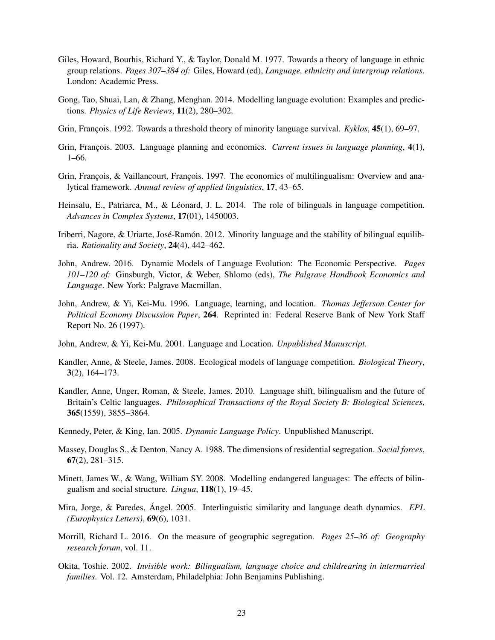- Giles, Howard, Bourhis, Richard Y., & Taylor, Donald M. 1977. Towards a theory of language in ethnic group relations. *Pages 307–384 of:* Giles, Howard (ed), *Language, ethnicity and intergroup relations*. London: Academic Press.
- Gong, Tao, Shuai, Lan, & Zhang, Menghan. 2014. Modelling language evolution: Examples and predictions. *Physics of Life Reviews*, 11(2), 280–302.
- Grin, François. 1992. Towards a threshold theory of minority language survival. *Kyklos*, 45(1), 69–97.
- Grin, François. 2003. Language planning and economics. *Current issues in language planning*, 4(1), 1–66.
- Grin, François, & Vaillancourt, François. 1997. The economics of multilingualism: Overview and analytical framework. *Annual review of applied linguistics*, 17, 43–65.
- Heinsalu, E., Patriarca, M., & Léonard, J. L. 2014. The role of bilinguals in language competition. *Advances in Complex Systems*, 17(01), 1450003.
- Iriberri, Nagore, & Uriarte, José-Ramón. 2012. Minority language and the stability of bilingual equilibria. *Rationality and Society*, 24(4), 442–462.
- John, Andrew. 2016. Dynamic Models of Language Evolution: The Economic Perspective. *Pages 101–120 of:* Ginsburgh, Victor, & Weber, Shlomo (eds), *The Palgrave Handbook Economics and Language*. New York: Palgrave Macmillan.
- John, Andrew, & Yi, Kei-Mu. 1996. Language, learning, and location. *Thomas Jefferson Center for Political Economy Discussion Paper*, 264. Reprinted in: Federal Reserve Bank of New York Staff Report No. 26 (1997).
- John, Andrew, & Yi, Kei-Mu. 2001. Language and Location. *Unpublished Manuscript*.
- Kandler, Anne, & Steele, James. 2008. Ecological models of language competition. *Biological Theory*, 3(2), 164–173.
- Kandler, Anne, Unger, Roman, & Steele, James. 2010. Language shift, bilingualism and the future of Britain's Celtic languages. *Philosophical Transactions of the Royal Society B: Biological Sciences*, 365(1559), 3855–3864.
- Kennedy, Peter, & King, Ian. 2005. *Dynamic Language Policy*. Unpublished Manuscript.
- Massey, Douglas S., & Denton, Nancy A. 1988. The dimensions of residential segregation. *Social forces*, 67(2), 281–315.
- Minett, James W., & Wang, William SY. 2008. Modelling endangered languages: The effects of bilingualism and social structure. *Lingua*, 118(1), 19–45.
- Mira, Jorge, & Paredes, Ángel. 2005. Interlinguistic similarity and language death dynamics. *EPL (Europhysics Letters)*, 69(6), 1031.
- Morrill, Richard L. 2016. On the measure of geographic segregation. *Pages 25–36 of: Geography research forum*, vol. 11.
- Okita, Toshie. 2002. *Invisible work: Bilingualism, language choice and childrearing in intermarried families*. Vol. 12. Amsterdam, Philadelphia: John Benjamins Publishing.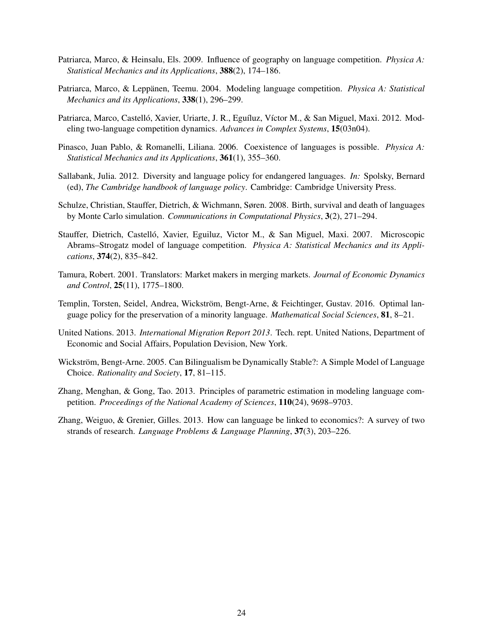- Patriarca, Marco, & Heinsalu, Els. 2009. Influence of geography on language competition. *Physica A: Statistical Mechanics and its Applications*, 388(2), 174–186.
- Patriarca, Marco, & Leppänen, Teemu. 2004. Modeling language competition. *Physica A: Statistical Mechanics and its Applications*, 338(1), 296–299.
- Patriarca, Marco, Castelló, Xavier, Uriarte, J. R., Eguíluz, Víctor M., & San Miguel, Maxi. 2012. Modeling two-language competition dynamics. *Advances in Complex Systems*, 15(03n04).
- Pinasco, Juan Pablo, & Romanelli, Liliana. 2006. Coexistence of languages is possible. *Physica A: Statistical Mechanics and its Applications*, 361(1), 355–360.
- Sallabank, Julia. 2012. Diversity and language policy for endangered languages. *In:* Spolsky, Bernard (ed), *The Cambridge handbook of language policy*. Cambridge: Cambridge University Press.
- Schulze, Christian, Stauffer, Dietrich, & Wichmann, Søren. 2008. Birth, survival and death of languages by Monte Carlo simulation. *Communications in Computational Physics*, 3(2), 271–294.
- Stauffer, Dietrich, Castelló, Xavier, Eguiluz, Victor M., & San Miguel, Maxi. 2007. Microscopic Abrams–Strogatz model of language competition. *Physica A: Statistical Mechanics and its Applications*, 374(2), 835–842.
- Tamura, Robert. 2001. Translators: Market makers in merging markets. *Journal of Economic Dynamics and Control*, 25(11), 1775–1800.
- Templin, Torsten, Seidel, Andrea, Wickström, Bengt-Arne, & Feichtinger, Gustav. 2016. Optimal language policy for the preservation of a minority language. *Mathematical Social Sciences*, 81, 8–21.
- United Nations. 2013. *International Migration Report 2013*. Tech. rept. United Nations, Department of Economic and Social Affairs, Population Devision, New York.
- Wickström, Bengt-Arne. 2005. Can Bilingualism be Dynamically Stable?: A Simple Model of Language Choice. *Rationality and Society*, 17, 81–115.
- Zhang, Menghan, & Gong, Tao. 2013. Principles of parametric estimation in modeling language competition. *Proceedings of the National Academy of Sciences*, 110(24), 9698–9703.
- Zhang, Weiguo, & Grenier, Gilles. 2013. How can language be linked to economics?: A survey of two strands of research. *Language Problems & Language Planning*, 37(3), 203–226.